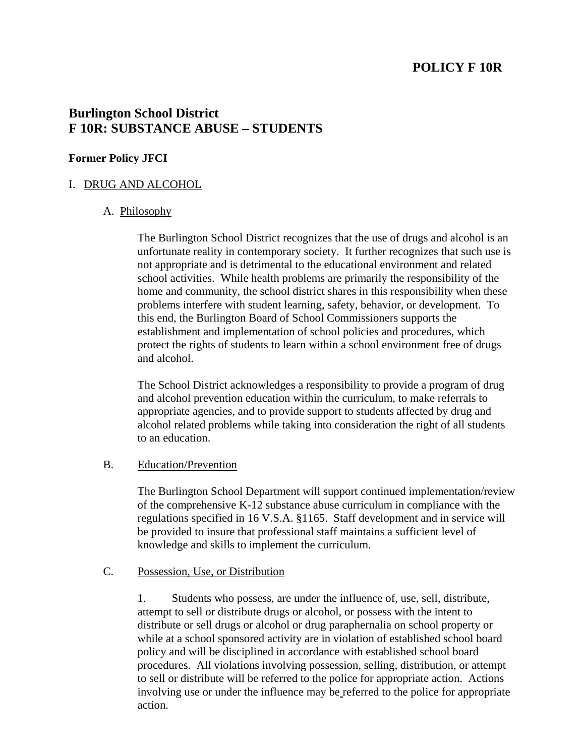# **POLICY F 10R**

# **Burlington School District F 10R: SUBSTANCE ABUSE – STUDENTS**

#### **Former Policy JFCI**

#### I. DRUG AND ALCOHOL

#### A. Philosophy

 The Burlington School District recognizes that the use of drugs and alcohol is an unfortunate reality in contemporary society. It further recognizes that such use is not appropriate and is detrimental to the educational environment and related school activities. While health problems are primarily the responsibility of the home and community, the school district shares in this responsibility when these problems interfere with student learning, safety, behavior, or development. To this end, the Burlington Board of School Commissioners supports the establishment and implementation of school policies and procedures, which protect the rights of students to learn within a school environment free of drugs and alcohol.

 The School District acknowledges a responsibility to provide a program of drug and alcohol prevention education within the curriculum, to make referrals to appropriate agencies, and to provide support to students affected by drug and alcohol related problems while taking into consideration the right of all students to an education.

#### B. Education/Prevention

 The Burlington School Department will support continued implementation/review of the comprehensive K-12 substance abuse curriculum in compliance with the regulations specified in 16 V.S.A. §1165. Staff development and in service will be provided to insure that professional staff maintains a sufficient level of knowledge and skills to implement the curriculum.

#### C. Possession, Use, or Distribution

 1. Students who possess, are under the influence of, use, sell, distribute, attempt to sell or distribute drugs or alcohol, or possess with the intent to distribute or sell drugs or alcohol or drug paraphernalia on school property or while at a school sponsored activity are in violation of established school board policy and will be disciplined in accordance with established school board procedures. All violations involving possession, selling, distribution, or attempt to sell or distribute will be referred to the police for appropriate action. Actions involving use or under the influence may be referred to the police for appropriate action.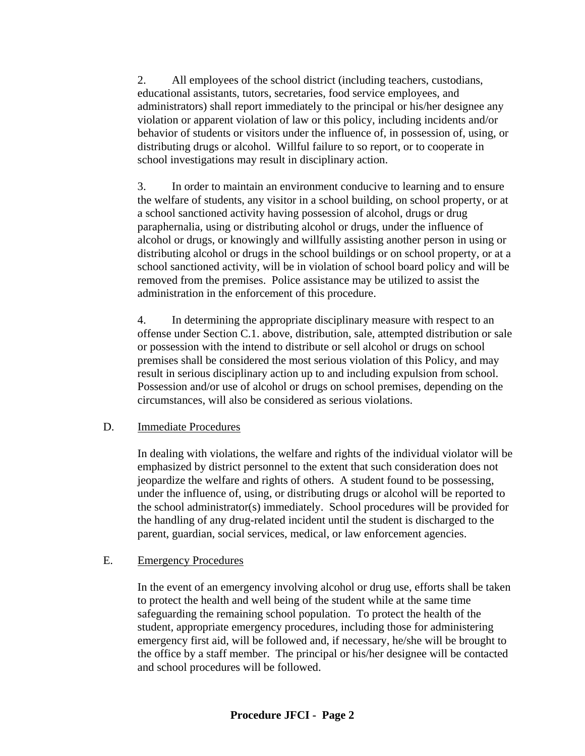2. All employees of the school district (including teachers, custodians, educational assistants, tutors, secretaries, food service employees, and administrators) shall report immediately to the principal or his/her designee any violation or apparent violation of law or this policy, including incidents and/or behavior of students or visitors under the influence of, in possession of, using, or distributing drugs or alcohol. Willful failure to so report, or to cooperate in school investigations may result in disciplinary action.

 3. In order to maintain an environment conducive to learning and to ensure the welfare of students, any visitor in a school building, on school property, or at a school sanctioned activity having possession of alcohol, drugs or drug paraphernalia, using or distributing alcohol or drugs, under the influence of alcohol or drugs, or knowingly and willfully assisting another person in using or distributing alcohol or drugs in the school buildings or on school property, or at a school sanctioned activity, will be in violation of school board policy and will be removed from the premises. Police assistance may be utilized to assist the administration in the enforcement of this procedure.

 4. In determining the appropriate disciplinary measure with respect to an offense under Section C.1. above, distribution, sale, attempted distribution or sale or possession with the intend to distribute or sell alcohol or drugs on school premises shall be considered the most serious violation of this Policy, and may result in serious disciplinary action up to and including expulsion from school. Possession and/or use of alcohol or drugs on school premises, depending on the circumstances, will also be considered as serious violations.

#### D. Immediate Procedures

 In dealing with violations, the welfare and rights of the individual violator will be emphasized by district personnel to the extent that such consideration does not jeopardize the welfare and rights of others. A student found to be possessing, under the influence of, using, or distributing drugs or alcohol will be reported to the school administrator(s) immediately. School procedures will be provided for the handling of any drug-related incident until the student is discharged to the parent, guardian, social services, medical, or law enforcement agencies.

#### E. Emergency Procedures

 In the event of an emergency involving alcohol or drug use, efforts shall be taken to protect the health and well being of the student while at the same time safeguarding the remaining school population. To protect the health of the student, appropriate emergency procedures, including those for administering emergency first aid, will be followed and, if necessary, he/she will be brought to the office by a staff member. The principal or his/her designee will be contacted and school procedures will be followed.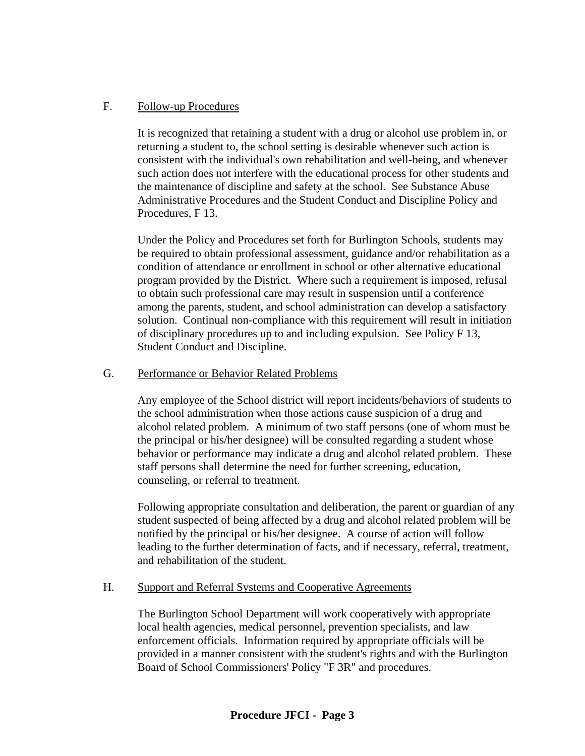#### F. Follow-up Procedures

 It is recognized that retaining a student with a drug or alcohol use problem in, or returning a student to, the school setting is desirable whenever such action is consistent with the individual's own rehabilitation and well-being, and whenever such action does not interfere with the educational process for other students and the maintenance of discipline and safety at the school. See Substance Abuse Administrative Procedures and the Student Conduct and Discipline Policy and Procedures, F 13.

 Under the Policy and Procedures set forth for Burlington Schools, students may be required to obtain professional assessment, guidance and/or rehabilitation as a condition of attendance or enrollment in school or other alternative educational program provided by the District. Where such a requirement is imposed, refusal to obtain such professional care may result in suspension until a conference among the parents, student, and school administration can develop a satisfactory solution. Continual non-compliance with this requirement will result in initiation of disciplinary procedures up to and including expulsion. See Policy F 13, Student Conduct and Discipline.

## G. Performance or Behavior Related Problems

 Any employee of the School district will report incidents/behaviors of students to the school administration when those actions cause suspicion of a drug and alcohol related problem. A minimum of two staff persons (one of whom must be the principal or his/her designee) will be consulted regarding a student whose behavior or performance may indicate a drug and alcohol related problem. These staff persons shall determine the need for further screening, education, counseling, or referral to treatment.

 Following appropriate consultation and deliberation, the parent or guardian of any student suspected of being affected by a drug and alcohol related problem will be notified by the principal or his/her designee. A course of action will follow leading to the further determination of facts, and if necessary, referral, treatment, and rehabilitation of the student.

#### H. Support and Referral Systems and Cooperative Agreements

 The Burlington School Department will work cooperatively with appropriate local health agencies, medical personnel, prevention specialists, and law enforcement officials. Information required by appropriate officials will be provided in a manner consistent with the student's rights and with the Burlington Board of School Commissioners' Policy "F 3R" and procedures.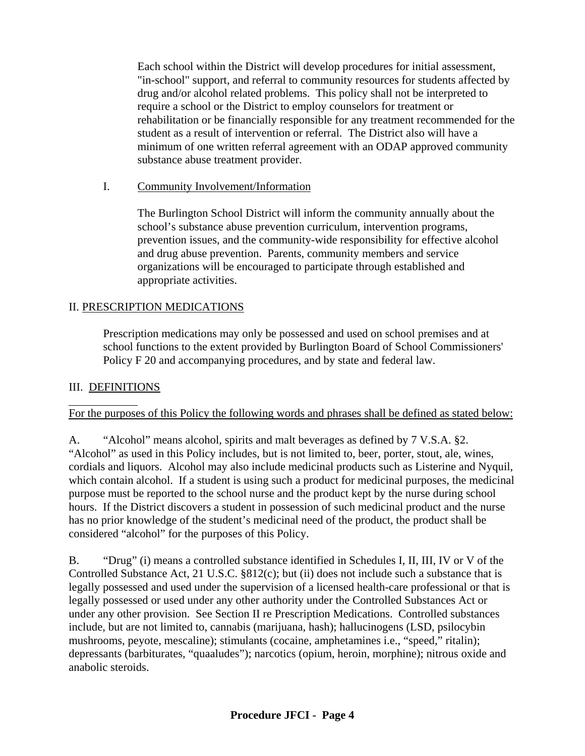Each school within the District will develop procedures for initial assessment, "in-school" support, and referral to community resources for students affected by drug and/or alcohol related problems. This policy shall not be interpreted to require a school or the District to employ counselors for treatment or rehabilitation or be financially responsible for any treatment recommended for the student as a result of intervention or referral. The District also will have a minimum of one written referral agreement with an ODAP approved community substance abuse treatment provider.

## I. Community Involvement/Information

 The Burlington School District will inform the community annually about the school's substance abuse prevention curriculum, intervention programs, prevention issues, and the community-wide responsibility for effective alcohol and drug abuse prevention. Parents, community members and service organizations will be encouraged to participate through established and appropriate activities.

## II. PRESCRIPTION MEDICATIONS

 Prescription medications may only be possessed and used on school premises and at school functions to the extent provided by Burlington Board of School Commissioners' Policy F 20 and accompanying procedures, and by state and federal law.

## III. DEFINITIONS

l

#### For the purposes of this Policy the following words and phrases shall be defined as stated below:

A. "Alcohol" means alcohol, spirits and malt beverages as defined by 7 V.S.A. §2. "Alcohol" as used in this Policy includes, but is not limited to, beer, porter, stout, ale, wines, cordials and liquors. Alcohol may also include medicinal products such as Listerine and Nyquil, which contain alcohol. If a student is using such a product for medicinal purposes, the medicinal purpose must be reported to the school nurse and the product kept by the nurse during school hours. If the District discovers a student in possession of such medicinal product and the nurse has no prior knowledge of the student's medicinal need of the product, the product shall be considered "alcohol" for the purposes of this Policy.

B. "Drug" (i) means a controlled substance identified in Schedules I, II, III, IV or V of the Controlled Substance Act, 21 U.S.C. §812(c); but (ii) does not include such a substance that is legally possessed and used under the supervision of a licensed health-care professional or that is legally possessed or used under any other authority under the Controlled Substances Act or under any other provision. See Section II re Prescription Medications. Controlled substances include, but are not limited to, cannabis (marijuana, hash); hallucinogens (LSD, psilocybin mushrooms, peyote, mescaline); stimulants (cocaine, amphetamines i.e., "speed," ritalin); depressants (barbiturates, "quaaludes"); narcotics (opium, heroin, morphine); nitrous oxide and anabolic steroids.